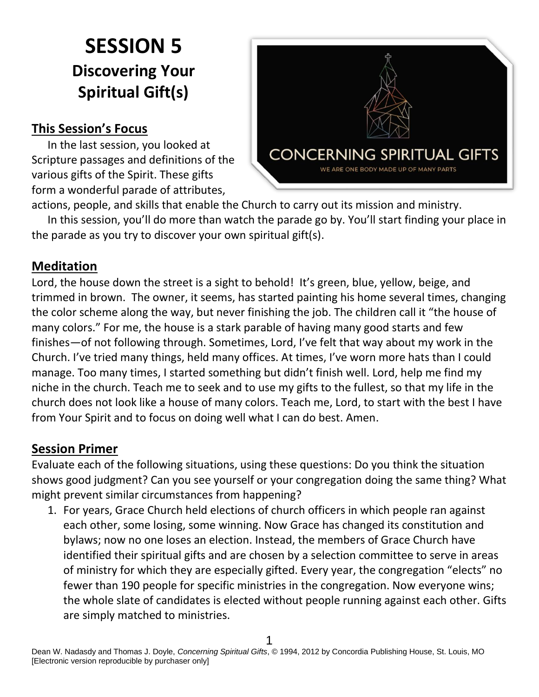# **SESSION 5 Discovering Your Spiritual Gift(s)**

## **This Session's Focus**

In the last session, you looked at Scripture passages and definitions of the various gifts of the Spirit. These gifts form a wonderful parade of attributes,



actions, people, and skills that enable the Church to carry out its mission and ministry. In this session, you'll do more than watch the parade go by. You'll start finding your place in

the parade as you try to discover your own spiritual gift(s).

### **Meditation**

Lord, the house down the street is a sight to behold! It's green, blue, yellow, beige, and trimmed in brown. The owner, it seems, has started painting his home several times, changing the color scheme along the way, but never finishing the job. The children call it "the house of many colors." For me, the house is a stark parable of having many good starts and few finishes—of not following through. Sometimes, Lord, I've felt that way about my work in the Church. I've tried many things, held many offices. At times, I've worn more hats than I could manage. Too many times, I started something but didn't finish well. Lord, help me find my niche in the church. Teach me to seek and to use my gifts to the fullest, so that my life in the church does not look like a house of many colors. Teach me, Lord, to start with the best I have from Your Spirit and to focus on doing well what I can do best. Amen.

### **Session Primer**

Evaluate each of the following situations, using these questions: Do you think the situation shows good judgment? Can you see yourself or your congregation doing the same thing? What might prevent similar circumstances from happening?

1. For years, Grace Church held elections of church officers in which people ran against each other, some losing, some winning. Now Grace has changed its constitution and bylaws; now no one loses an election. Instead, the members of Grace Church have identified their spiritual gifts and are chosen by a selection committee to serve in areas of ministry for which they are especially gifted. Every year, the congregation "elects" no fewer than 190 people for specific ministries in the congregation. Now everyone wins; the whole slate of candidates is elected without people running against each other. Gifts are simply matched to ministries.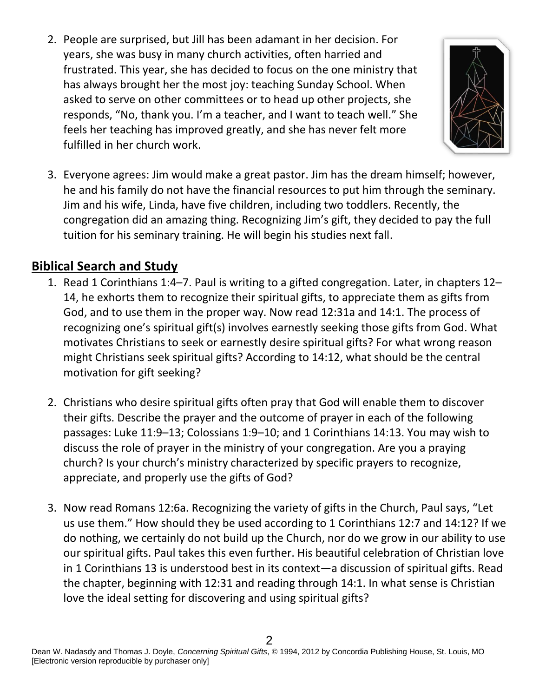2. People are surprised, but Jill has been adamant in her decision. For years, she was busy in many church activities, often harried and frustrated. This year, she has decided to focus on the one ministry that has always brought her the most joy: teaching Sunday School. When asked to serve on other committees or to head up other projects, she responds, "No, thank you. I'm a teacher, and I want to teach well." She feels her teaching has improved greatly, and she has never felt more fulfilled in her church work.



3. Everyone agrees: Jim would make a great pastor. Jim has the dream himself; however, he and his family do not have the financial resources to put him through the seminary. Jim and his wife, Linda, have five children, including two toddlers. Recently, the congregation did an amazing thing. Recognizing Jim's gift, they decided to pay the full tuition for his seminary training. He will begin his studies next fall.

### **Biblical Search and Study**

- 1. Read 1 Corinthians 1:4–7. Paul is writing to a gifted congregation. Later, in chapters 12– 14, he exhorts them to recognize their spiritual gifts, to appreciate them as gifts from God, and to use them in the proper way. Now read 12:31a and 14:1. The process of recognizing one's spiritual gift(s) involves earnestly seeking those gifts from God. What motivates Christians to seek or earnestly desire spiritual gifts? For what wrong reason might Christians seek spiritual gifts? According to 14:12, what should be the central motivation for gift seeking?
- 2. Christians who desire spiritual gifts often pray that God will enable them to discover their gifts. Describe the prayer and the outcome of prayer in each of the following passages: Luke 11:9–13; Colossians 1:9–10; and 1 Corinthians 14:13. You may wish to discuss the role of prayer in the ministry of your congregation. Are you a praying church? Is your church's ministry characterized by specific prayers to recognize, appreciate, and properly use the gifts of God?
- 3. Now read Romans 12:6a. Recognizing the variety of gifts in the Church, Paul says, "Let us use them." How should they be used according to 1 Corinthians 12:7 and 14:12? If we do nothing, we certainly do not build up the Church, nor do we grow in our ability to use our spiritual gifts. Paul takes this even further. His beautiful celebration of Christian love in 1 Corinthians 13 is understood best in its context—a discussion of spiritual gifts. Read the chapter, beginning with 12:31 and reading through 14:1. In what sense is Christian love the ideal setting for discovering and using spiritual gifts?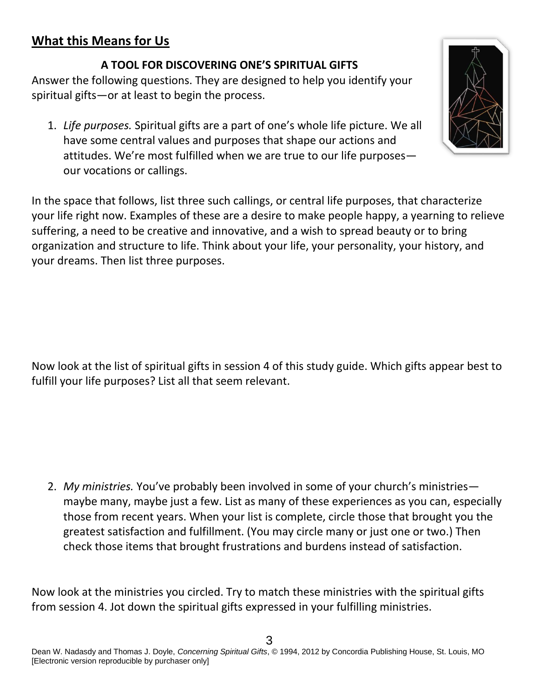# **What this Means for Us**

#### **A TOOL FOR DISCOVERING ONE'S SPIRITUAL GIFTS**

Answer the following questions. They are designed to help you identify your spiritual gifts—or at least to begin the process.

1. *Life purposes.* Spiritual gifts are a part of one's whole life picture. We all have some central values and purposes that shape our actions and attitudes. We're most fulfilled when we are true to our life purposes our vocations or callings.

In the space that follows, list three such callings, or central life purposes, that characterize your life right now. Examples of these are a desire to make people happy, a yearning to relieve suffering, a need to be creative and innovative, and a wish to spread beauty or to bring organization and structure to life. Think about your life, your personality, your history, and your dreams. Then list three purposes.

Now look at the list of spiritual gifts in session 4 of this study guide. Which gifts appear best to fulfill your life purposes? List all that seem relevant.

2. *My ministries.* You've probably been involved in some of your church's ministries maybe many, maybe just a few. List as many of these experiences as you can, especially those from recent years. When your list is complete, circle those that brought you the greatest satisfaction and fulfillment. (You may circle many or just one or two.) Then check those items that brought frustrations and burdens instead of satisfaction.

Now look at the ministries you circled. Try to match these ministries with the spiritual gifts from session 4. Jot down the spiritual gifts expressed in your fulfilling ministries.